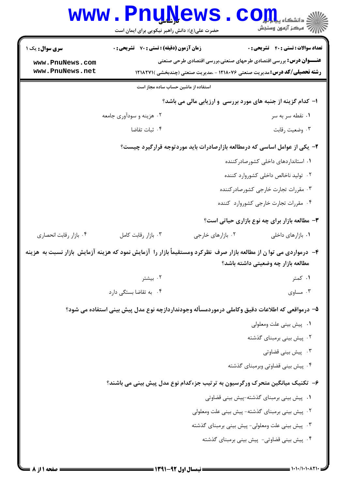|                                                                                                                    | <b>I ÂTĂ C M</b><br>حضرت علی(ع): دانش راهبر نیکویی برای ایمان است                             |                   | د دانشگاه پ <b>یا ب<sup>ا</sup> تو</b><br>رآ - مرڪز آزمون وسنڊش                                                                                               |
|--------------------------------------------------------------------------------------------------------------------|-----------------------------------------------------------------------------------------------|-------------------|---------------------------------------------------------------------------------------------------------------------------------------------------------------|
| <b>سری سوال :</b> یک ۱                                                                                             | <b>زمان آزمون (دقیقه) : تستی : 70 ٪ تشریحی : 0</b>                                            |                   | <b>تعداد سوالات : تستي : 40 - تشريحي : 0</b>                                                                                                                  |
| www.PnuNews.com<br>www.PnuNews.net                                                                                 |                                                                                               |                   | <b>عنـــوان درس:</b> بررسی اقتصادی طرحهای صنعتی،بررسی اقتصادی طرحی صنعتی<br><b>رشته تحصیلی/کد درس:</b> مدیریت صنعتی ۱۲۱۸۰۷۶ - ،مدیریت صنعتی (چندبخشی )۱۲۱۸۲۷۱ |
|                                                                                                                    | استفاده از ماشین حساب ساده مجاز است                                                           |                   |                                                                                                                                                               |
|                                                                                                                    |                                                                                               |                   | ا- کدام گزینه از جنبه های مورد بررسی و ارزیابی مالی می باشد؟                                                                                                  |
|                                                                                                                    | ۰۲ هزینه و سودآوری جامعه                                                                      |                   | ۰۱ نقطه سر به سر                                                                                                                                              |
|                                                                                                                    | ۰۴ ثبات تقاضا                                                                                 |                   | ۰۳ وضعیت رقابت                                                                                                                                                |
|                                                                                                                    |                                                                                               |                   | ۲- یکی از عوامل اساسی که درمطالعه بازارصادرات باید موردتوجه قرارگیرد چیست؟                                                                                    |
|                                                                                                                    |                                                                                               |                   | ۰۱ استانداردهای داخلی کشورصادر کننده                                                                                                                          |
|                                                                                                                    |                                                                                               |                   | ۰۲ تولید ناخالص داخلی کشوروارد کننده                                                                                                                          |
|                                                                                                                    |                                                                                               |                   | ۰۳ مقررات تجارت خارجي كشورصادركننده                                                                                                                           |
|                                                                                                                    |                                                                                               |                   | ۰۴ مقررات تجارت خارجي كشوروارد كننده                                                                                                                          |
|                                                                                                                    |                                                                                               |                   | <b>۳</b> - مطالعه بازار برای چه نوع بازاری حیاتی است؟                                                                                                         |
| ۰۴ بازار رقابت انحصاري                                                                                             | ۰۳ بازار رقابت كامل                                                                           | ۰۲ بازارهای خارجی | ۰۱ بازارهای داخلی                                                                                                                                             |
| ۴- درمواردی می توا ن از مطالعه بازار صرف نظرکرد ومستقیماً بازار را آزمایش نمود که هزینه آزمایش بازار نسبت به هزینه |                                                                                               |                   | مطالعه بازار چه وضعیتی داشته باشد؟                                                                                                                            |
|                                                                                                                    | ۰۲ بیشتر                                                                                      |                   | ۰۱ کمتر                                                                                                                                                       |
|                                                                                                                    | ۰۴ به تقاضا بستگی دارد                                                                        |                   | ۰۳ مساوی                                                                                                                                                      |
|                                                                                                                    | ۵– درمواقعی که اطلاعات دقیق وکاملی درموردمسأله وجودنداردازچه نوع مدل پیش بینی استفاده می شود؟ |                   |                                                                                                                                                               |
|                                                                                                                    |                                                                                               |                   | ٠١. پيش بيني علت ومعلولي                                                                                                                                      |
|                                                                                                                    |                                                                                               |                   | ۰۲ پیش بینی برمبنای گذشته                                                                                                                                     |
|                                                                                                                    |                                                                                               |                   | ۰۳ پیش بینی قضاوتی                                                                                                                                            |
|                                                                                                                    |                                                                                               |                   | ۰۴ پیش بینی قضاوتی وبرمبنای گذشته                                                                                                                             |
|                                                                                                                    | ۶–  تکنیک میانگین متحرک ورگرسیون به ترتیب جزءکدام نوع مدل پیش بینی می باشند؟                  |                   |                                                                                                                                                               |
|                                                                                                                    |                                                                                               |                   | ۰۱ پیش بینی برمبنای گذشته-پیش بینی قضاوتی                                                                                                                     |
|                                                                                                                    |                                                                                               |                   | ٠٢ پيش بيني برمبناي گذشته- پيش بيني علت ومعلولي                                                                                                               |
|                                                                                                                    |                                                                                               |                   | ۰۳ پیش بینی علت ومعلولی- پیش بینی برمبنای گذشته                                                                                                               |
|                                                                                                                    |                                                                                               |                   | ۰۴ پیش بینی قضاوتی- پیش بینی برمبنای گذشته                                                                                                                    |
|                                                                                                                    |                                                                                               |                   |                                                                                                                                                               |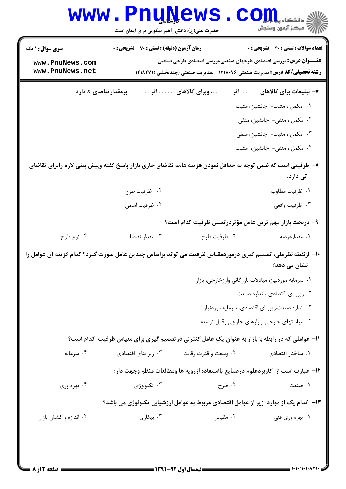|                                    | حضرت علی(ع): دانش راهبر نیکویی برای ایمان است    |                                                                                                                                                                | رآ مرڪز آزمون وسنڊش                                   |
|------------------------------------|--------------------------------------------------|----------------------------------------------------------------------------------------------------------------------------------------------------------------|-------------------------------------------------------|
| <b>سری سوال : ۱ یک</b>             | <b>زمان آزمون (دقیقه) : تستی : 70 قشریحی : 0</b> |                                                                                                                                                                | <b>تعداد سوالات : تستی : 40 قشریحی : 0</b>            |
| www.PnuNews.com<br>www.PnuNews.net |                                                  | <b>عنـــوان درس:</b> بررسی اقتصادی طرحهای صنعتی،بررسی اقتصادی طرحی صنعتی<br><b>رشته تحصیلی/کد درس: م</b> دیریت صنعتی ۱۲۱۸۰۷۶ - ،مدیریت صنعتی (چندبخشی )۱۲۱۸۲۷۱ |                                                       |
|                                    |                                                  |                                                                                                                                                                |                                                       |
|                                    |                                                  | ۷– تبلیغات برای کالاهای اثر وبرای کالاهای اثر برمقدار تقاضای x دارد.                                                                                           |                                                       |
|                                    |                                                  |                                                                                                                                                                | ٠١. مكمل ، مثبت- جانشين، مثبت                         |
|                                    |                                                  |                                                                                                                                                                | ۰۲ مکمل ، منفی- جانشین، منفی                          |
|                                    |                                                  |                                                                                                                                                                | ۰۳ مکمل ، مثبت- جانشین، منفی                          |
|                                    |                                                  |                                                                                                                                                                | ۰۴ مکمل ، منفی- جانشین، مثبت                          |
|                                    |                                                  | ۸− ظرفیتی است که ضمن توجه به حداقل نمودن هزینه ها،به تقاضای جاری بازار پاسخ گفته وپیش بینی لازم رابرای تقاضای                                                  | آتی دارد.                                             |
|                                    | ۰۲ ظرفیت طرح                                     |                                                                                                                                                                | ٠١ ظرفيت مطلوب                                        |
|                                    | ۰۴ ظرفیت اسمی                                    |                                                                                                                                                                | ۰۳ ظرفيت واقعي                                        |
|                                    |                                                  | ۹- دربحث بازار مهم ترین عامل مؤثردرتعیین ظرفیت کدام است؟                                                                                                       |                                                       |
| ۰۴ نوع طرح                         | ۰۳ مقدار تقاضا                                   | ۰۲ ظرفيت طرح                                                                                                                                                   | ۰۱ مقدارعرضه                                          |
|                                    |                                                  | ∙ا− ازنقطه نظرملی، تصمیم گیری درموردمقیاس ظرفیت می تواند براساس چندین عامل صورت گیرد؟ کدام گزینه آن عوامل را                                                   |                                                       |
|                                    |                                                  |                                                                                                                                                                | نشان می دهد؟                                          |
|                                    |                                                  |                                                                                                                                                                | ٠١ سرمايه موردنياز، مبادلات بازرگاني وارزخارجي، بازار |
|                                    |                                                  |                                                                                                                                                                | ٠٢ زيربناى اقتصادى ، اندازه صنعت                      |
|                                    |                                                  |                                                                                                                                                                | ۰۳ اندازه صنعت،زیربنای اقتصادی، سرمایه موردنیاز       |
|                                    |                                                  |                                                                                                                                                                | ۰۴ سیاستهای خارجی ،بازارهای خارجی وقابل توسعه         |
|                                    |                                                  | 11- عواملی که در رابطه با بازار به عنوان یک عامل کنترلی درتصمیم گیری برای مقیاس ظرفیت کدام است؟                                                                |                                                       |
| ۰۴ سرمایه                          | ۰۳ زیر بنای اقتصادی                              | ۰۲ وسعت و قدرت رقابت                                                                                                                                           | ۰۱ ساختار اقتصادی                                     |
|                                    |                                                  | <b>۱۲</b> - عبارت است از کاربردعلوم درصنایع بااستفاده ازرویه ها ومطالعات منظم وجهت دار:                                                                        |                                                       |
| ۰۴ بهره وری                        | ۰۳ تکنولوژی                                      | ۰۲ طرح                                                                                                                                                         | ۰۱ صنعت                                               |
|                                    |                                                  | ۱۳– کدام یک از موارد ٖ زیر از عوامل اقتصادی مربوط به عوامل ارزشیابی تکنولوژی می باشد؟                                                                          |                                                       |
| ۰۴ اندازه و کشش بازار              | ۰۳ بیکاری $\cdot$                                | ۰۲ مقیاس                                                                                                                                                       | ۰۱ بهره وری فنی                                       |
|                                    |                                                  |                                                                                                                                                                |                                                       |
|                                    |                                                  |                                                                                                                                                                |                                                       |
|                                    |                                                  |                                                                                                                                                                |                                                       |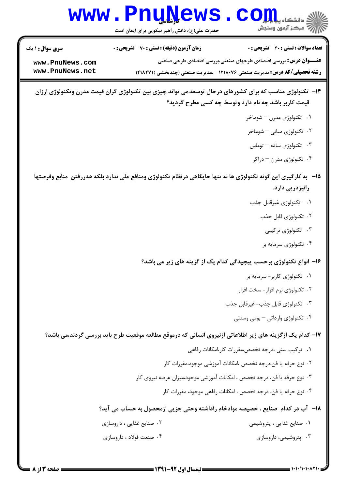## WWW.PnuNews.com است.<br>الله عرکز آزمون وسنڊش

حضرت علی(ع): دانش راهبر نیکویی برای ایمان است

| <b>سری سوال : ۱ یک</b> | <b>زمان آزمون (دقیقه) : تستی : 70 گشریحی : 0</b>                                  | <b>تعداد سوالات : تستی : 40 قشریحی : 0</b>                               |
|------------------------|-----------------------------------------------------------------------------------|--------------------------------------------------------------------------|
| www.PnuNews.com        |                                                                                   | <b>عنـــوان درس:</b> بررسی اقتصادی طرحهای صنعتی،بررسی اقتصادی طرحی صنعتی |
| www.PnuNews.net        | <b>رشته تحصیلی/کد درس:</b> مدیریت صنعتی ۱۲۱۸۰۷۶ - ،مدیریت صنعتی (چندبخشی )۲۱۸۲۷۱۱ |                                                                          |

- ۱۴– تکنولوژی مناسب که برای کشورهای درحال توسعه،می تواند چیزی بین تکنولوژی گران قیمت مدرن وتکنولوژی ارزان قیمت کاربر باشد چه نام دارد وتوسط چه کسی مطرح گردید؟
	- ۰۱ تکنولوژی مدرن شوماخر
	- ۰۲ تکنولوژی میانی <sup>—</sup> شوماخر
	- ۰۳ تکنولوژی ساده توماس
	- ۰۴ تکنولوژی مدرن دراکر
- ۱۵− به کارگیری این گونه تکنولوژی ها نه تنها جایگاهی درنظام تکنولوژی ومنافع ملی ندارد بلکه هدررفتن منابع وفرصتها رانیزدریی دارد.
	- ٠١ تكنولوژي غيرقابل جذب
		- ۰۲ تکنولوژی قابل جذب
			- ۰۳ تکنولوژی ترکیبی
		- ۰۴ تکنولوژی سرمایه بر

۱۶- انواع تکنولوژی برحسب پیچیدگی کدام یک از گزینه های زیر می باشد؟

- ۰۱ تکنولوژی کاربر-سرمایه بر
- ۰۲ تکنولوژی نرم افزار سخت افزار
- ۰۳ تکنولوژي قابل جذب- غيرقابل جذب
	- ۰۴ تکنولوژی وارداتی بومی وسنتی

۱۷– کدام یک ازگزینه های زیر اطلاعاتی ازنیروی انسانی که درموقع مطالعه موقعیت طرح باید بررسی گردند،می باشد؟

- ۰۱ ترکیب سنی ،درجه تخصص،مقررات کار،امکانات رفاهی
- ٢. نوع حرفه يا فن،درجه تخصص ،امكانات آموزشي موجود،مقررات كار
- ۰۳ نوع حرفه یا فن، درجه تخصص ، امکانات آموزشی موجود،میزان عرضه نیروی کار
	- ۰۴ نوع حرفه یا فن، درجه تخصص ، امکانات رفاهی موجود، مقررات کار

۱۸− آب در کدام صنایع ، خصیصه موادخام راداشته وحتی جزیی ازمحصول به حساب می آید؟

| ۰۲ صنایع غذایی ، داروسازی | ۰۱ صنایع غذایی ، پتروشیمی |
|---------------------------|---------------------------|
| ۰۴ صنعت فولاد ، داروسازي  | ۰۲ پتروشیمی، داروسازی     |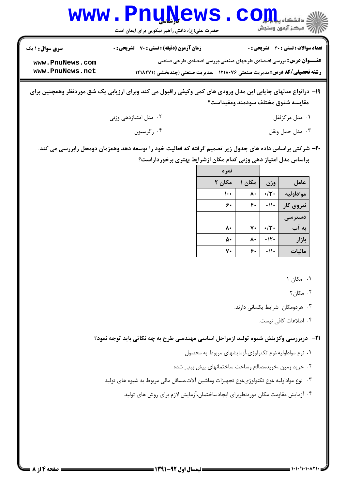|                                    | $\mathbf{W}\mathbf{W}$ , $\mathbf{P}\mathbf{H}$ , $\mathbf{Q}\mathbf{W}\mathbf{S}$ , $\mathbf{C}\mathbf{O}\mathbf{H}$ , $\mathbf{Q}\mathbf{u}$ , $\mathbf{u}$<br>حضرت علی(ع): دانش راهبر نیکویی برای ایمان است |                                                                          |
|------------------------------------|----------------------------------------------------------------------------------------------------------------------------------------------------------------------------------------------------------------|--------------------------------------------------------------------------|
| <b>سری سوال : ۱ یک</b>             | زمان آزمون (دقیقه) : تستی : 70 تشریحی : 0                                                                                                                                                                      | <b>تعداد سوالات : تستی : 40 - تشریحی : 0</b>                             |
| www.PnuNews.com<br>www.PnuNews.net | <b>رشته تحصیلی/کد درس:</b> مدیریت صنعتی ۱۲۱۸۰۷۶ - ،مدیریت صنعتی (چندبخشی ) ۱۲۱۸۲۷۱                                                                                                                             | <b>عنـــوان درس:</b> بررسی اقتصادی طرحهای صنعتی،بررسی اقتصادی طرحی صنعتی |

**DnuNawa** 

**WAZNAZIAZ** 

- ۱۹- درانواع مدلهای جایابی این مدل ورودی های کمی وکیفی راقبول می کند وبرای ارزیابی یک شق موردنظر وهمچنین برای مقايسه شقوق مختلف سودمند ومفيداست؟
	- ۰۲ مدل امتيازدهي وزني ۰۱ مدل مرکز ثقل ۰۴ رگرسیون ۰۳ مدل حمل ونقل
	- ۲۰- شرکتی براساس داده های جدول زیر تصمیم گرفته که فعالیت خود را توسعه دهد وهمزمان دومحل رابررسی می کند. براساس مدل امتیاز دهی وزنی کدام مکان ازشرایط بهتری برخورداراست؟

|           |                           |        | نمره         |
|-----------|---------------------------|--------|--------------|
| عامل      | وزن                       | مکان ۱ | مکان ۲       |
| مواداوليه | $\cdot/\mathfrak{r}\cdot$ | ٨٠     | $\mathsf{L}$ |
| نیروی کار | $\cdot/\prime$            | ۴٠     | ۶.           |
| دستر سے   |                           |        |              |
| به آب     | $\cdot/\mathfrak{r}$ .    | ٧٠     | ۸۰           |
| بازار     | $\cdot/\mathsf{Y}$        | ٨٠     | ۵۰           |
| مالىات    | $\cdot/\prime$            | ۶.     | ٧٠           |

١. مكان ١

 $\mathsf{R} \cdot \mathsf{R}$ . مکان

۰۳ هردومکان شرایط یکسانی دارند.

۴. اطلاعات کافی نیست.

**۲۱**- دربررسی وگزینش شیوه تولید ازمراحل اساسی مهندسی طرح به چه نکاتی باید توجه نمود؟

- ۰۱ نوع مواداولیه،نوع تکنولوژی،آزمایشهای مربوط به محصول
- ۲. خرید زمین ،خریدمصالح وساخت ساختمانهای پیش بینی شده
- ۰۳ نوع مواداولیه ،نوع تکنولوژی،نوع تجهیزات وماشین آلات،مسائل مالی مربوط به شیوه های تولید
	- ۰۴ آزمایش مقاومت مکان موردنظربرای ایجادساختمان،آزمایش لازم برای روش های تولید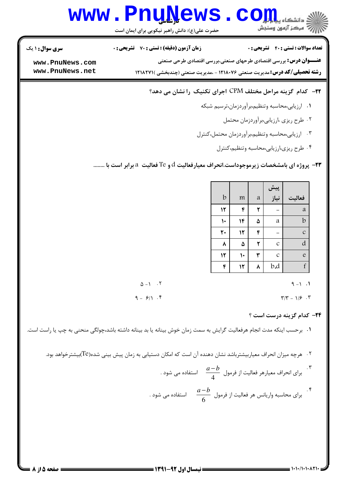# Www.PnuNews.com

حضرت علی(ع): دانش راهبر نیکویی برای ایمان است

**تعداد سوالات : تستي : 40 - تشريحي : 0** 

**سری سوال : ۱ یک زمان آزمون (دقیقه) : تستی : 70 گشریحی: 0** 

**عنـــوان درس:** بررسی اقتصادی طرحهای صنعتی،بررسی اقتصادی طرحی صنعتی

**رشته تحصیلی/کد درس:**مدیریت صنعتی ۱۲۱۸۰۷۶ - ،مدیریت صنعتی (چندبخشی )۲۱۸۲۷۱ **۱** 

www.PnuNews.com www.PnuNews.net

### 7۲- کدام گزینه مراحل مختلف CPM اجرای تکنیک را نشان می دهد؟

- ۰۱ ارزیابی،محاسبه وتنظیم،برآوردزمان،ترسیم شبکه
	- ۰۲ طرح ریزی ،ارزیابی،برآوردزمان محتمل
- ۰۳ ارزیابی،محاسبه وتنظیم،برآوردزمان محتمل،کنترل
	- ۰۴ طرح ریزی،ارزیابی،محاسبه وتنظیم،کنترل

۰۲۳ پروژه ای بامشخصات زیرموجوداست.انحراف معیارفعالیت  $\rm d$  و  $\rm \rm T$  فعالیت  $\rm \it a$  برابر است با ........

| m  | $\mathfrak{a}$ |               | فعاليت        |
|----|----------------|---------------|---------------|
| ۴  |                |               | a             |
| ۱۴ | ۵              | a             | $\mathbf b$   |
| ١٢ |                |               | $\mathcal{C}$ |
| ۵  |                | $\mathcal{C}$ | d             |
|    |                | $\mathcal{C}$ | e             |
| ۱۲ |                | b.d           | f             |
|    |                |               | پیش<br>نیاز   |

 $\Delta - 1$   $\cdot$   $\cdot$  $9 - 1$  $9 - 91.5$  $\Upsilon/\Upsilon = 1/\zeta$ .

**٢۴** - كدام گزينه درست است ؟

٠١ برحسب اينكه مدت انجام هرفعاليت گرايش به سمت زمان خوش بينانه يا بد بينانه داشته باشد،چولگي منحني به چپ يا راست است.

- ۰۲ هرچه میزان انحراف معیاربیشترباشد نشان دهنده آن است که امکان دستیابی به زمان پیش بینی شده(Te)بیشترخواهد بود.
	- ۳.<br>برای انحراف معیارهر فعالیت از فرمول  $\displaystyle \frac{a\!-\!b}{4}$  استفاده می شود .
	- ۰۴<br>برای محاسبه واریانس هر فعالیت از فرمول  $\displaystyle\frac{a\!-\!b}{6}$  استفاده می شود .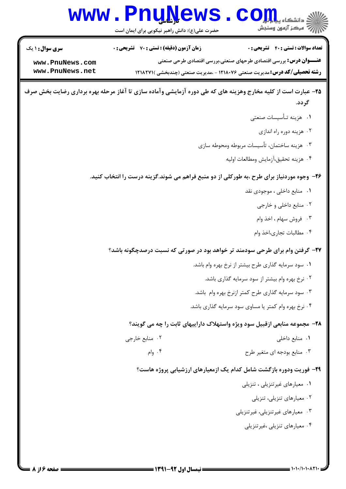## WWW.PnuNews.com

حضرت علی(ع): دانش راهبر نیکویی برای ایمان است

| <b>سری سوال : ۱ یک</b> | <b>زمان آزمون (دقیقه) : تستی : 70 گشریحی : 0</b>                                  | <b>تعداد سوالات : تستی : 40 قشریحی : 0</b>                               |
|------------------------|-----------------------------------------------------------------------------------|--------------------------------------------------------------------------|
| www.PnuNews.com        |                                                                                   | <b>عنـــوان درس:</b> بررسی اقتصادی طرحهای صنعتی،بررسی اقتصادی طرحی صنعتی |
| www.PnuNews.net        | <b>رشته تحصیلی/کد درس:</b> مدیریت صنعتی ۱۲۱۸۰۷۶ - ،مدیریت صنعتی (چندبخشی )۲۲۱۸۲۷۱ |                                                                          |

- ۲۵- عبارت است از کلیه مخارج وهزینه های که طی دوره آزمایشی وآماده سازی تا آغاز مرحله بهره برداری رضایت بخش صرف گر دد.
	- ٠١. هزينه تـأسيسات صنعتى
		- ۰۲ هزینه دوره راه اندازی
	- ۰۳ هزینه ساختمان، تأسیسات مربوطه ومحوطه سازی
		- ۴. هزينه تحقيق،آزمايش ومطالعات اوليه

#### ۲۶- وجوه موردنیاز برای طرح ،به طورکلی از دو منبع فراهم می شوند.گزینه درست را انتخاب کنید.

- ٠١. منابع داخلي ، موجودي نقد
	- ۰۲ منابع داخلي و خارجي
	- ۰۳ فروش سهام ، اخذ وام
	- ۰۴ مطالبات تجارى،اخذ وام

#### ۲۷- گرفتن وام برای طرحی سودمند تر خواهد بود در صورتی که نسبت درصدچگونه باشد؟

- ٠١ سود سرمايه گذاري طرح بيشتر از نرخ بهره وام باشد.
	- ۰۲ نرخ بهره وام بیشتر از سود سرمایه گذاری باشد.
- ۰۳ سود سرمایه گذاری طرح کمتر ازنرخ بهره وام باشد.
- ۰۴ نرخ بهره وام کمتر یا مساوی سود سرمایه گذاری باشد.

#### ۲۸– مجموعه منابعی ازقبیل سود ویژه واستهلاک داراییهای ثابت را چه می گویند؟

- ٠٢ منابع خارجي ٠١. منابع داخلي
	- ۰۴ وام $\cdot$ ۰۳ منابع بودجه ای متغیر طرح

#### ۲۹- فوریت ودوره بازگشت شامل کدام یک ازمعیارهای ارزشیابی پروژه هاست؟

- ٠١ معيارهاي غير تنزيلي ، تنزيلي
	- ۰۲ معیارهای تنزیلی، تنزیلی
- ۰۳ معیارهای غیر تنزیلی، غیر تنزیلی
	- ۰۴ معیارهای تنزیلی ،غیرتنزیلی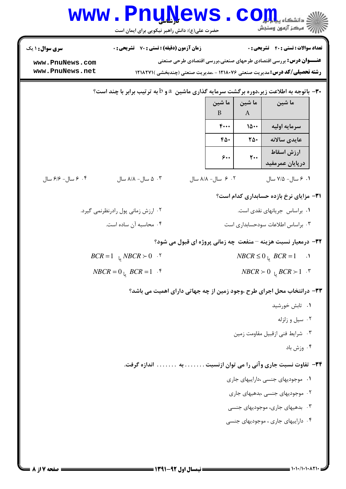|                                                          | <b>www.PnuNews</b><br>حضرت علی(ع): دانش راهبر نیکویی برای ایمان است                                                               |  |                    |                             | $CO_{\rm 211}^{\rm 211}$ $\approx$<br>أأأأ مركز آزمون وسنجش                                                                                                           |  |
|----------------------------------------------------------|-----------------------------------------------------------------------------------------------------------------------------------|--|--------------------|-----------------------------|-----------------------------------------------------------------------------------------------------------------------------------------------------------------------|--|
| <b>سری سوال : ۱ یک</b>                                   | <b>زمان آزمون (دقیقه) : تستی : 70 ٪ تشریحی : 0</b>                                                                                |  |                    |                             | <b>تعداد سوالات : تستی : 40 قشریحی : 0</b>                                                                                                                            |  |
| www.PnuNews.com<br>www.PnuNews.net                       |                                                                                                                                   |  |                    |                             | <b>عنـــوان درس:</b> بررسی اقتصادی طرحهای صنعتی،بررسی اقتصادی طرحی صنعتی<br><b>رشته تحصیلی/کد درس:</b> مدیریت صنعتی ۱۲۱۸۰۷۶ - ،مدیریت صنعتی (چندبخشی )۲۱۸۲۷۱ <b>۱</b> |  |
|                                                          | ۳۰ - باتوجه به اطلاعت زیر،دوره برگشت سرمایه گذاری ماشین $a$ و $b$ به ترتیب برابر با چند است $\cdot$<br>ما شین<br>ما شین<br>ما شین |  |                    |                             |                                                                                                                                                                       |  |
|                                                          |                                                                                                                                   |  | B                  | $\bf{A}$                    |                                                                                                                                                                       |  |
|                                                          |                                                                                                                                   |  | $F \cdots$         | 10                          | سرمايه اوليه                                                                                                                                                          |  |
|                                                          |                                                                                                                                   |  | ۴۵۰                | ٢۵٠                         | عايدي سالانه                                                                                                                                                          |  |
|                                                          |                                                                                                                                   |  | $\mathbf{\hat{z}}$ | $\mathsf{r}\cdot\mathsf{r}$ | ارزش اسقاط<br>درپایان عمرمفید                                                                                                                                         |  |
| ۰۴ مسال- ۶/۶ سال                                         | ۰۳ ه سال- ۸/۸ سال                                                                                                                 |  | ۰۲ ۶ سال- ۸/۸ سال  |                             | ۰۱ ۶ سال- ۷/۵ سال                                                                                                                                                     |  |
|                                                          |                                                                                                                                   |  |                    |                             | <b>۳۱</b> مزایای نرخ بازده حسابداری کدام است؟                                                                                                                         |  |
|                                                          | ۰۲ ارزش زمانی پول رادرنظرنمی گیرد.                                                                                                |  |                    |                             | ٠١ براساس جريانهاى نقدى است.                                                                                                                                          |  |
|                                                          | ۰۴ محاسبه آن ساده است.                                                                                                            |  |                    |                             | ۰۳ براساس اطلاعات سودحسابداری است                                                                                                                                     |  |
|                                                          |                                                                                                                                   |  |                    |                             | <b>۳۲</b> - درمعیار نسبت هزینه –منفعت چه زمانی پروژه ای قبول می شود؟                                                                                                  |  |
|                                                          | $BCR = 1$ $\downarrow$ $NBCR > 0$ $\cdot$ $\cdot$                                                                                 |  |                    |                             | $NBCR \leq 0$ <sub>L</sub> $BCR = 1$<br>$\overline{\phantom{a}}$ .                                                                                                    |  |
| $NBCR = 0$ $BCR = 1$ .<br>$NBCR \succ 0$ $BCR \succ 1$ . |                                                                                                                                   |  |                    |                             |                                                                                                                                                                       |  |
|                                                          |                                                                                                                                   |  |                    |                             | ۳۳- درانتخاب محل اجرای طرح ،وجود زمین از چه جهاتی دارای اهمیت می باشد؟                                                                                                |  |
|                                                          |                                                                                                                                   |  |                    |                             | ٠١. تابش خورشيد                                                                                                                                                       |  |
|                                                          |                                                                                                                                   |  |                    |                             | ٠٢ سيل و زلزله                                                                                                                                                        |  |
|                                                          |                                                                                                                                   |  |                    |                             | ۰۳ شرایط فنی ازقبیل مقاومت زمین                                                                                                                                       |  |
|                                                          |                                                                                                                                   |  |                    |                             | ۰۴ وزش باد                                                                                                                                                            |  |
|                                                          |                                                                                                                                   |  |                    |                             | ۳۴– تفاوت نسبت جاری وآنی را می توان ازنسبت به اندازه گرفت.                                                                                                            |  |
|                                                          |                                                                                                                                   |  |                    |                             | ٠١ موجوديهاى جنسى ،داراييهاى جارى                                                                                                                                     |  |
|                                                          |                                                                                                                                   |  |                    |                             | ۰۲ موجودیهای جنسی ،بدهیهای جاری                                                                                                                                       |  |
|                                                          |                                                                                                                                   |  |                    |                             | ۰۳ بدهیهای جاری، موجودیهای جنسی                                                                                                                                       |  |
|                                                          |                                                                                                                                   |  |                    |                             | ۰۴ داراییهای جاری ، موجودیهای جنسی                                                                                                                                    |  |
|                                                          |                                                                                                                                   |  |                    |                             |                                                                                                                                                                       |  |